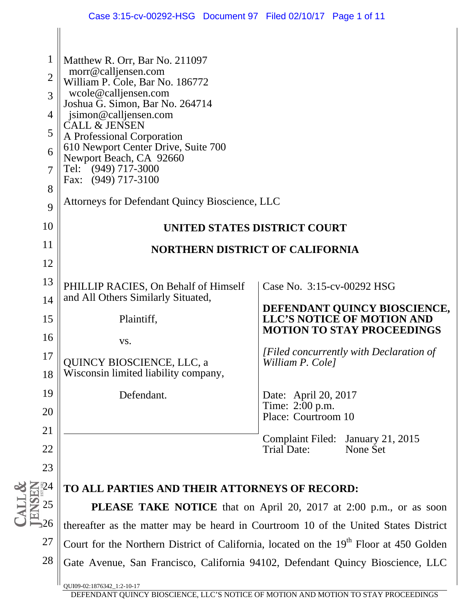| $\mathbf{1}$<br>$\overline{2}$<br>3<br>$\overline{4}$<br>5<br>6<br>7<br>8<br>9 | Matthew R. Orr, Bar No. 211097<br>morr@calljensen.com<br>William P. Cole, Bar No. 186772<br>wcole@calljensen.com<br>Joshua G. Simon, Bar No. 264714<br>jsimon@calljensen.com<br><b>CALL &amp; JENSEN</b><br>A Professional Corporation<br>610 Newport Center Drive, Suite 700<br>Newport Beach, CA 92660<br>Tel: (949) 717-3000<br>Fax: (949) 717-3100<br>Attorneys for Defendant Quincy Bioscience, LLC |                                                                   |  |  |
|--------------------------------------------------------------------------------|----------------------------------------------------------------------------------------------------------------------------------------------------------------------------------------------------------------------------------------------------------------------------------------------------------------------------------------------------------------------------------------------------------|-------------------------------------------------------------------|--|--|
| 10                                                                             | UNITED STATES DISTRICT COURT                                                                                                                                                                                                                                                                                                                                                                             |                                                                   |  |  |
| 11                                                                             | <b>NORTHERN DISTRICT OF CALIFORNIA</b>                                                                                                                                                                                                                                                                                                                                                                   |                                                                   |  |  |
| 12                                                                             |                                                                                                                                                                                                                                                                                                                                                                                                          |                                                                   |  |  |
| 13                                                                             | PHILLIP RACIES, On Behalf of Himself                                                                                                                                                                                                                                                                                                                                                                     | Case No. 3:15-cv-00292 HSG                                        |  |  |
| 14                                                                             | and All Others Similarly Situated,                                                                                                                                                                                                                                                                                                                                                                       |                                                                   |  |  |
| 15                                                                             | Plaintiff,                                                                                                                                                                                                                                                                                                                                                                                               | DEFENDANT QUINCY BIOSCIENCE,<br><b>LLC'S NOTICE OF MOTION AND</b> |  |  |
| 16                                                                             | VS.                                                                                                                                                                                                                                                                                                                                                                                                      | <b>MOTION TO STAY PROCEEDINGS</b>                                 |  |  |
| 17                                                                             | <b>QUINCY BIOSCIENCE, LLC, a</b>                                                                                                                                                                                                                                                                                                                                                                         | [Filed concurrently with Declaration of<br>William P. Cole]       |  |  |
| 18                                                                             | Wisconsin limited liability company,                                                                                                                                                                                                                                                                                                                                                                     |                                                                   |  |  |
| 19                                                                             | Defendant.                                                                                                                                                                                                                                                                                                                                                                                               | Date: April 20, 2017                                              |  |  |
| 20                                                                             |                                                                                                                                                                                                                                                                                                                                                                                                          | Time: 2:00 p.m.<br>Place: Courtroom 10                            |  |  |
| 21                                                                             |                                                                                                                                                                                                                                                                                                                                                                                                          | Complaint Filed: January 21, 2015                                 |  |  |
| 22                                                                             |                                                                                                                                                                                                                                                                                                                                                                                                          | <b>Trial Date:</b><br>None Set                                    |  |  |
| 23                                                                             |                                                                                                                                                                                                                                                                                                                                                                                                          |                                                                   |  |  |
| 524                                                                            | TO ALL PARTIES AND THEIR ATTORNEYS OF RECORD:                                                                                                                                                                                                                                                                                                                                                            |                                                                   |  |  |
| 25                                                                             | PLEASE TAKE NOTICE that on April 20, 2017 at 2:00 p.m., or as soon                                                                                                                                                                                                                                                                                                                                       |                                                                   |  |  |
| 26                                                                             | thereafter as the matter may be heard in Courtroom 10 of the United States District                                                                                                                                                                                                                                                                                                                      |                                                                   |  |  |
| 27                                                                             | Court for the Northern District of California, located on the 19 <sup>th</sup> Floor at 450 Golden                                                                                                                                                                                                                                                                                                       |                                                                   |  |  |
| 28                                                                             | Gate Avenue, San Francisco, California 94102, Defendant Quincy Bioscience, LLC                                                                                                                                                                                                                                                                                                                           |                                                                   |  |  |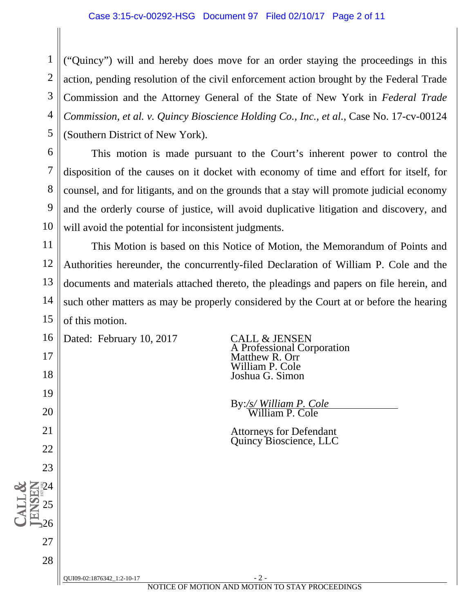#### Case 3:15-cv-00292-HSG Document 97 Filed 02/10/17 Page 2 of 11

 1 2 3 4 5 ("Quincy") will and hereby does move for an order staying the proceedings in this action, pending resolution of the civil enforcement action brought by the Federal Trade Commission and the Attorney General of the State of New York in *Federal Trade Commission, et al. v. Quincy Bioscience Holding Co., Inc., et al.*, Case No. 17-cv-00124 (Southern District of New York).

 6 7 8 9 10 This motion is made pursuant to the Court's inherent power to control the disposition of the causes on it docket with economy of time and effort for itself, for counsel, and for litigants, and on the grounds that a stay will promote judicial economy and the orderly course of justice, will avoid duplicative litigation and discovery, and will avoid the potential for inconsistent judgments.

11 12 13 14 15 This Motion is based on this Notice of Motion, the Memorandum of Points and Authorities hereunder, the concurrently-filed Declaration of William P. Cole and the documents and materials attached thereto, the pleadings and papers on file herein, and such other matters as may be properly considered by the Court at or before the hearing of this motion.

16 Dated: February 10, 2017 CALL & JENSEN

17

18

19

20

21

22

23

24

25

26

27

28

 A Professional Corporation Matthew R. Orr William P. Cole Joshua G. Simon

By:*/s/ William P. Cole* William P. Cole

Attorneys for Defendant Quincy Bioscience, LLC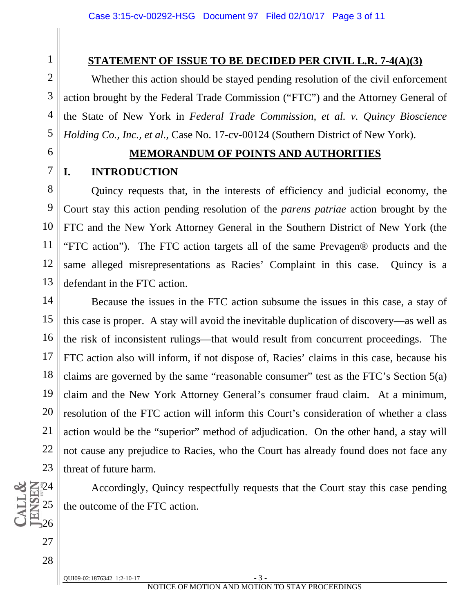#### **STATEMENT OF ISSUE TO BE DECIDED PER CIVIL L.R. 7-4(A)(3)**

Whether this action should be stayed pending resolution of the civil enforcement action brought by the Federal Trade Commission ("FTC") and the Attorney General of the State of New York in *Federal Trade Commission, et al. v. Quincy Bioscience Holding Co., Inc., et al.*, Case No. 17-cv-00124 (Southern District of New York).

6

7

 $\mathbb{Z}$  24

25

26

27

28

1

2

3

4

5

#### **MEMORANDUM OF POINTS AND AUTHORITIES**

#### **I. INTRODUCTION**

 8 9 10 11 12 13 Quincy requests that, in the interests of efficiency and judicial economy, the Court stay this action pending resolution of the *parens patriae* action brought by the FTC and the New York Attorney General in the Southern District of New York (the "FTC action"). The FTC action targets all of the same Prevagen® products and the same alleged misrepresentations as Racies' Complaint in this case. Quincy is a defendant in the FTC action.

14 15 16 17 18 19 20 21 22 23 Because the issues in the FTC action subsume the issues in this case, a stay of this case is proper. A stay will avoid the inevitable duplication of discovery—as well as the risk of inconsistent rulings—that would result from concurrent proceedings. The FTC action also will inform, if not dispose of, Racies' claims in this case, because his claims are governed by the same "reasonable consumer" test as the FTC's Section 5(a) claim and the New York Attorney General's consumer fraud claim. At a minimum, resolution of the FTC action will inform this Court's consideration of whether a class action would be the "superior" method of adjudication. On the other hand, a stay will not cause any prejudice to Racies, who the Court has already found does not face any threat of future harm.

Accordingly, Quincy respectfully requests that the Court stay this case pending the outcome of the FTC action.

 $OUI09-02:1876342 \t1:2-10-17$  - 3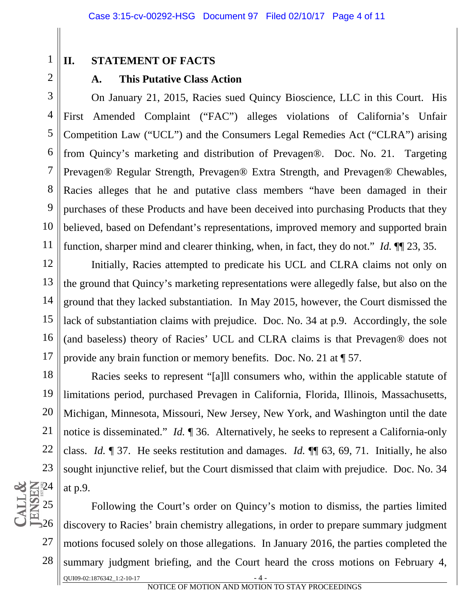1 2

## **II. STATEMENT OF FACTS**

#### **A. This Putative Class Action**

 3 4 5 6 7 8 9 10 11 On January 21, 2015, Racies sued Quincy Bioscience, LLC in this Court. His First Amended Complaint ("FAC") alleges violations of California's Unfair Competition Law ("UCL") and the Consumers Legal Remedies Act ("CLRA") arising from Quincy's marketing and distribution of Prevagen®. Doc. No. 21. Targeting Prevagen® Regular Strength, Prevagen® Extra Strength, and Prevagen® Chewables, Racies alleges that he and putative class members "have been damaged in their purchases of these Products and have been deceived into purchasing Products that they believed, based on Defendant's representations, improved memory and supported brain function, sharper mind and clearer thinking, when, in fact, they do not." *Id.* ¶¶ 23, 35.

12 13 14 15 16 17 Initially, Racies attempted to predicate his UCL and CLRA claims not only on the ground that Quincy's marketing representations were allegedly false, but also on the ground that they lacked substantiation. In May 2015, however, the Court dismissed the lack of substantiation claims with prejudice. Doc. No. 34 at p.9. Accordingly, the sole (and baseless) theory of Racies' UCL and CLRA claims is that Prevagen® does not provide any brain function or memory benefits. Doc. No. 21 at ¶ 57.

18 19 20 21 22 23  $Z_{12}^{324}$ Racies seeks to represent "[a]ll consumers who, within the applicable statute of limitations period, purchased Prevagen in California, Florida, Illinois, Massachusetts, Michigan, Minnesota, Missouri, New Jersey, New York, and Washington until the date notice is disseminated." *Id.* ¶ 36. Alternatively, he seeks to represent a California-only class. *Id.* ¶ 37. He seeks restitution and damages. *Id.* ¶¶ 63, 69, 71. Initially, he also sought injunctive relief, but the Court dismissed that claim with prejudice. Doc. No. 34 at p.9.

25 26 27 28 QUI09-02:1876342\_1:2-10-17 Following the Court's order on Quincy's motion to dismiss, the parties limited discovery to Racies' brain chemistry allegations, in order to prepare summary judgment motions focused solely on those allegations. In January 2016, the parties completed the summary judgment briefing, and the Court heard the cross motions on February 4,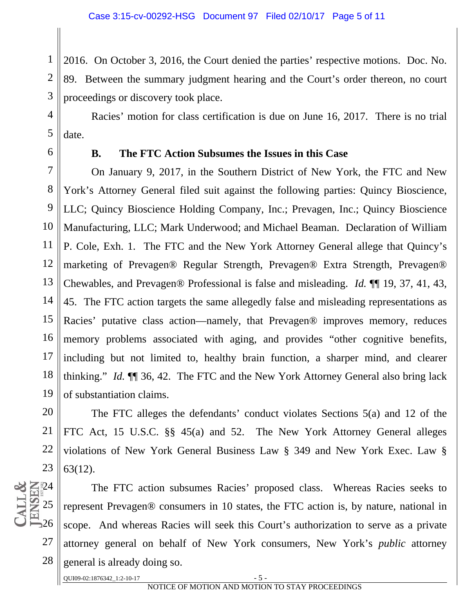1 2 3 2016. On October 3, 2016, the Court denied the parties' respective motions. Doc. No. 89. Between the summary judgment hearing and the Court's order thereon, no court proceedings or discovery took place.

 4 5 Racies' motion for class certification is due on June 16, 2017. There is no trial date.

6

#### **B. The FTC Action Subsumes the Issues in this Case**

 7 8 9 10 11 12 13 14 15 16 17 18 19 On January 9, 2017, in the Southern District of New York, the FTC and New York's Attorney General filed suit against the following parties: Quincy Bioscience, LLC; Quincy Bioscience Holding Company, Inc.; Prevagen, Inc.; Quincy Bioscience Manufacturing, LLC; Mark Underwood; and Michael Beaman. Declaration of William P. Cole, Exh. 1. The FTC and the New York Attorney General allege that Quincy's marketing of Prevagen® Regular Strength, Prevagen® Extra Strength, Prevagen® Chewables, and Prevagen® Professional is false and misleading. *Id.* ¶¶ 19, 37, 41, 43, 45. The FTC action targets the same allegedly false and misleading representations as Racies' putative class action—namely, that Prevagen® improves memory, reduces memory problems associated with aging, and provides "other cognitive benefits, including but not limited to, healthy brain function, a sharper mind, and clearer thinking." *Id.* ¶¶ 36, 42. The FTC and the New York Attorney General also bring lack of substantiation claims.

20 21 22 23 The FTC alleges the defendants' conduct violates Sections 5(a) and 12 of the FTC Act, 15 U.S.C. §§ 45(a) and 52. The New York Attorney General alleges violations of New York General Business Law § 349 and New York Exec. Law § 63(12).



The FTC action subsumes Racies' proposed class. Whereas Racies seeks to represent Prevagen® consumers in 10 states, the FTC action is, by nature, national in scope. And whereas Racies will seek this Court's authorization to serve as a private attorney general on behalf of New York consumers, New York's *public* attorney general is already doing so.

 $QUIO9-02:1876342\_1:2-10-17$  - 5 -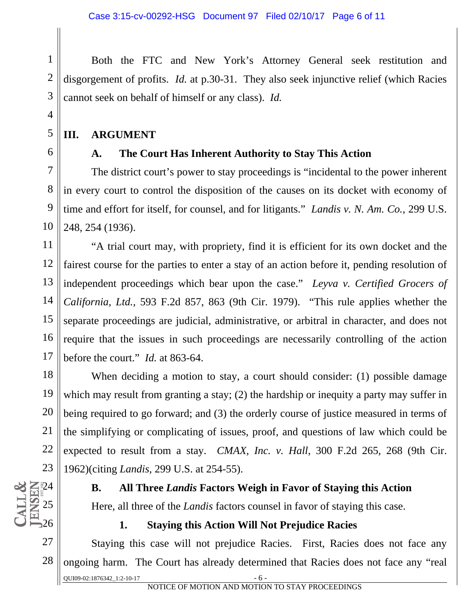Both the FTC and New York's Attorney General seek restitution and disgorgement of profits. *Id.* at p.30-31. They also seek injunctive relief (which Racies cannot seek on behalf of himself or any class). *Id.* 

## **III. ARGUMENT**

1

2

3

4

5

6

 $\sum_{k=1}^{n} 24$ 

25

26

## **A. The Court Has Inherent Authority to Stay This Action**

 7 8 9 10 The district court's power to stay proceedings is "incidental to the power inherent in every court to control the disposition of the causes on its docket with economy of time and effort for itself, for counsel, and for litigants." *Landis v. N. Am. Co.*, 299 U.S. 248, 254 (1936).

11 12 13 14 15 16 17 "A trial court may, with propriety, find it is efficient for its own docket and the fairest course for the parties to enter a stay of an action before it, pending resolution of independent proceedings which bear upon the case." *Leyva v. Certified Grocers of California, Ltd.,* 593 F.2d 857, 863 (9th Cir. 1979). "This rule applies whether the separate proceedings are judicial, administrative, or arbitral in character, and does not require that the issues in such proceedings are necessarily controlling of the action before the court." *Id.* at 863-64.

18 19 20 21 22 23 When deciding a motion to stay, a court should consider: (1) possible damage which may result from granting a stay; (2) the hardship or inequity a party may suffer in being required to go forward; and (3) the orderly course of justice measured in terms of the simplifying or complicating of issues, proof, and questions of law which could be expected to result from a stay. *CMAX, Inc. v. Hall*, 300 F.2d 265, 268 (9th Cir. 1962)(citing *Landis*, 299 U.S. at 254-55).

#### **B. All Three** *Landis* **Factors Weigh in Favor of Staying this Action**

Here, all three of the *Landis* factors counsel in favor of staying this case.

## **1. Staying this Action Will Not Prejudice Racies**

27 28 QUI09-02:1876342\_1:2-10-17 Staying this case will not prejudice Racies. First, Racies does not face any ongoing harm. The Court has already determined that Racies does not face any "real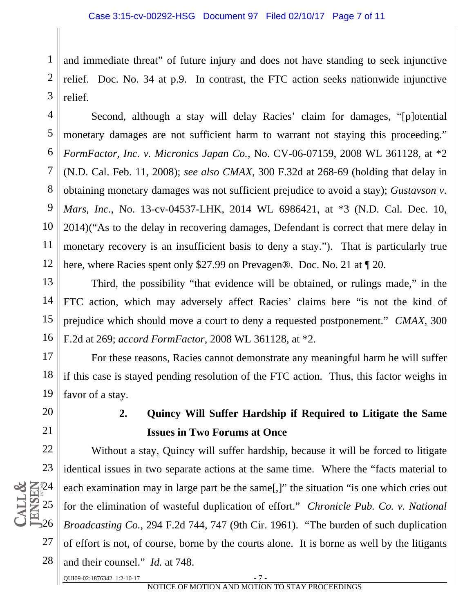1 2 3 and immediate threat" of future injury and does not have standing to seek injunctive relief. Doc. No. 34 at p.9. In contrast, the FTC action seeks nationwide injunctive relief.

 4 5 6 7 8 9 10 11 12 Second, although a stay will delay Racies' claim for damages, "[p]otential monetary damages are not sufficient harm to warrant not staying this proceeding." *FormFactor, Inc. v. Micronics Japan Co.*, No. CV-06-07159, 2008 WL 361128, at \*2 (N.D. Cal. Feb. 11, 2008); *see also CMAX*, 300 F.32d at 268-69 (holding that delay in obtaining monetary damages was not sufficient prejudice to avoid a stay); *Gustavson v. Mars, Inc.*, No. 13-cv-04537-LHK, 2014 WL 6986421, at \*3 (N.D. Cal. Dec. 10, 2014)("As to the delay in recovering damages, Defendant is correct that mere delay in monetary recovery is an insufficient basis to deny a stay."). That is particularly true here, where Racies spent only \$27.99 on Prevagen®. Doc. No. 21 at ¶ 20.

13 14 15 16 Third, the possibility "that evidence will be obtained, or rulings made," in the FTC action, which may adversely affect Racies' claims here "is not the kind of prejudice which should move a court to deny a requested postponement." *CMAX*, 300 F.2d at 269; *accord FormFactor,* 2008 WL 361128, at \*2.

17 18 19 For these reasons, Racies cannot demonstrate any meaningful harm he will suffer if this case is stayed pending resolution of the FTC action. Thus, this factor weighs in favor of a stay.

## 20 21

# **2. Quincy Will Suffer Hardship if Required to Litigate the Same Issues in Two Forums at Once**

22 23  $Z_{12}^{24}$ 25 26 27 28 Without a stay, Quincy will suffer hardship, because it will be forced to litigate identical issues in two separate actions at the same time. Where the "facts material to each examination may in large part be the same[,]" the situation "is one which cries out for the elimination of wasteful duplication of effort." *Chronicle Pub. Co. v. National Broadcasting Co.*, 294 F.2d 744, 747 (9th Cir. 1961). "The burden of such duplication of effort is not, of course, borne by the courts alone. It is borne as well by the litigants and their counsel." *Id.* at 748.

QUI09-02:1876342\_1:2-10-17 - 7 -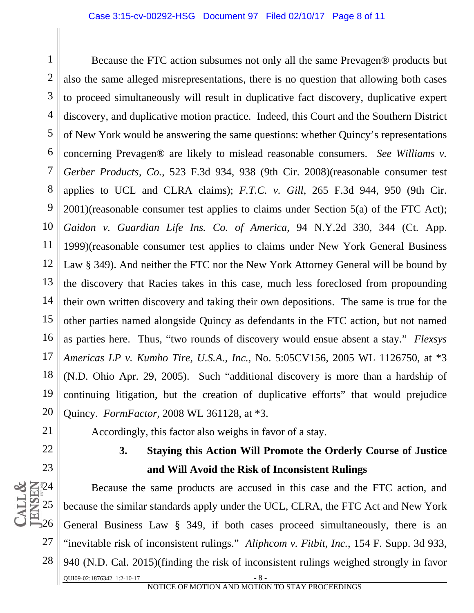1 2 3 4 5 6 7 8 9 10 11 12 13 14 15 16 17 18 19 20 Because the FTC action subsumes not only all the same Prevagen® products but also the same alleged misrepresentations, there is no question that allowing both cases to proceed simultaneously will result in duplicative fact discovery, duplicative expert discovery, and duplicative motion practice. Indeed, this Court and the Southern District of New York would be answering the same questions: whether Quincy's representations concerning Prevagen® are likely to mislead reasonable consumers. *See Williams v. Gerber Products, Co.,* 523 F.3d 934, 938 (9th Cir. 2008)(reasonable consumer test applies to UCL and CLRA claims); *F.T.C. v. Gill*, 265 F.3d 944, 950 (9th Cir. 2001)(reasonable consumer test applies to claims under Section 5(a) of the FTC Act); *Gaidon v. Guardian Life Ins. Co. of America*, 94 N.Y.2d 330, 344 (Ct. App. 1999)(reasonable consumer test applies to claims under New York General Business Law § 349). And neither the FTC nor the New York Attorney General will be bound by the discovery that Racies takes in this case, much less foreclosed from propounding their own written discovery and taking their own depositions. The same is true for the other parties named alongside Quincy as defendants in the FTC action, but not named as parties here. Thus, "two rounds of discovery would ensue absent a stay." *Flexsys Americas LP v. Kumho Tire, U.S.A., Inc.*, No. 5:05CV156, 2005 WL 1126750, at \*3 (N.D. Ohio Apr. 29, 2005). Such "additional discovery is more than a hardship of continuing litigation, but the creation of duplicative efforts" that would prejudice Quincy. *FormFactor,* 2008 WL 361128, at \*3.

Accordingly, this factor also weighs in favor of a stay.

28

21

## **3. Staying this Action Will Promote the Orderly Course of Justice and Will Avoid the Risk of Inconsistent Rulings**

QUI09-02:1876342\_1:2-10-17 Because the same products are accused in this case and the FTC action, and because the similar standards apply under the UCL, CLRA, the FTC Act and New York General Business Law § 349, if both cases proceed simultaneously, there is an "inevitable risk of inconsistent rulings." *Aliphcom v. Fitbit, Inc.*, 154 F. Supp. 3d 933, 940 (N.D. Cal. 2015)(finding the risk of inconsistent rulings weighed strongly in favor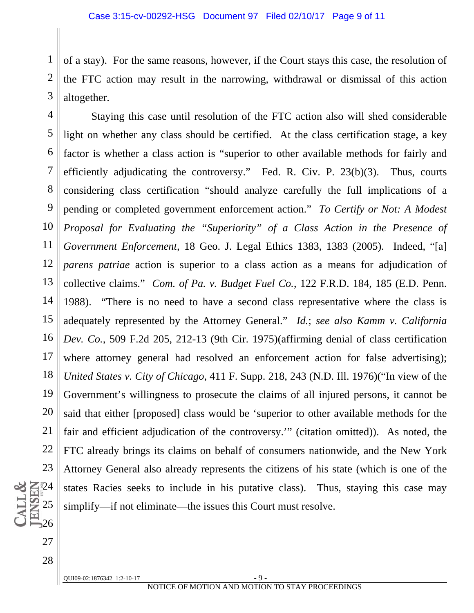1 2 3 of a stay). For the same reasons, however, if the Court stays this case, the resolution of the FTC action may result in the narrowing, withdrawal or dismissal of this action altogether.

 4 5 6 7 8 9 10 11 12 13 14 15 16 17 18 19 20 21 22 23  $24$ 25 Staying this case until resolution of the FTC action also will shed considerable light on whether any class should be certified. At the class certification stage, a key factor is whether a class action is "superior to other available methods for fairly and efficiently adjudicating the controversy." Fed. R. Civ. P. 23(b)(3). Thus, courts considering class certification "should analyze carefully the full implications of a pending or completed government enforcement action." *To Certify or Not: A Modest Proposal for Evaluating the "Superiority" of a Class Action in the Presence of Government Enforcement*, 18 Geo. J. Legal Ethics 1383, 1383 (2005). Indeed, "[a] *parens patriae* action is superior to a class action as a means for adjudication of collective claims." *Com. of Pa. v. Budget Fuel Co.*, 122 F.R.D. 184, 185 (E.D. Penn. 1988). "There is no need to have a second class representative where the class is adequately represented by the Attorney General." *Id.*; *see also Kamm v. California Dev. Co.*, 509 F.2d 205, 212-13 (9th Cir. 1975)(affirming denial of class certification where attorney general had resolved an enforcement action for false advertising); *United States v. City of Chicago,* 411 F. Supp. 218, 243 (N.D. Ill. 1976)("In view of the Government's willingness to prosecute the claims of all injured persons, it cannot be said that either [proposed] class would be 'superior to other available methods for the fair and efficient adjudication of the controversy.'" (citation omitted)). As noted, the FTC already brings its claims on behalf of consumers nationwide, and the New York Attorney General also already represents the citizens of his state (which is one of the states Racies seeks to include in his putative class). Thus, staying this case may simplify—if not eliminate—the issues this Court must resolve.

 $OUI09-02:1876342 \t1:2-10-17$  - 9

26

27

28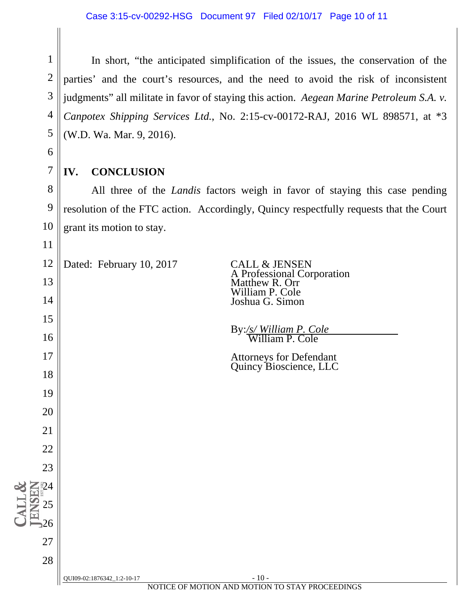1 2 3 4 5 In short, "the anticipated simplification of the issues, the conservation of the parties' and the court's resources, and the need to avoid the risk of inconsistent judgments" all militate in favor of staying this action. *Aegean Marine Petroleum S.A. v. Canpotex Shipping Services Ltd.*, No. 2:15-cv-00172-RAJ, 2016 WL 898571, at \*3 (W.D. Wa. Mar. 9, 2016).

#### **IV. CONCLUSION**

6

7

11

13

14

15

16

17

18

19

20

21

22

23

24

25

26

27

28

 8 9 10 All three of the *Landis* factors weigh in favor of staying this case pending resolution of the FTC action. Accordingly, Quincy respectfully requests that the Court grant its motion to stay.

12 Dated: February 10, 2017 CALL & JENSEN

 A Professional Corporation Matthew R. Orr William P. Cole Joshua G. Simon

By:*/s/ William P. Cole* William P. Cole

Attorneys for Defendant Quincy Bioscience, LLC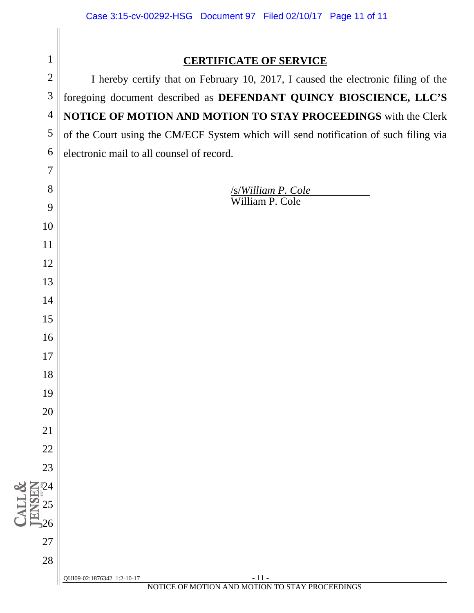| $\mathbf{1}$        | <b>CERTIFICATE OF SERVICE</b>                                                        |
|---------------------|--------------------------------------------------------------------------------------|
| $\overline{2}$      | I hereby certify that on February 10, 2017, I caused the electronic filing of the    |
| 3                   | foregoing document described as DEFENDANT QUINCY BIOSCIENCE, LLC'S                   |
| $\overline{4}$      | NOTICE OF MOTION AND MOTION TO STAY PROCEEDINGS with the Clerk                       |
| 5                   | of the Court using the CM/ECF System which will send notification of such filing via |
| 6                   | electronic mail to all counsel of record.                                            |
| 7                   |                                                                                      |
| 8                   | <b>/s/William P. Cole</b>                                                            |
| 9                   | William P. Cole                                                                      |
| 10                  |                                                                                      |
| 11                  |                                                                                      |
| 12                  |                                                                                      |
| 13                  |                                                                                      |
| 14                  |                                                                                      |
| 15                  |                                                                                      |
| 16                  |                                                                                      |
| 17                  |                                                                                      |
| 18                  |                                                                                      |
| 19                  |                                                                                      |
| 20                  |                                                                                      |
| 21                  |                                                                                      |
| 22                  |                                                                                      |
| 23                  |                                                                                      |
| $\sum_{i=1}^{n} 24$ |                                                                                      |
|                     |                                                                                      |
| 26                  |                                                                                      |
| 27                  |                                                                                      |
| 28                  |                                                                                      |
|                     | $-11-$<br>QUI09-02:1876342_1:2-10-17                                                 |

CALL&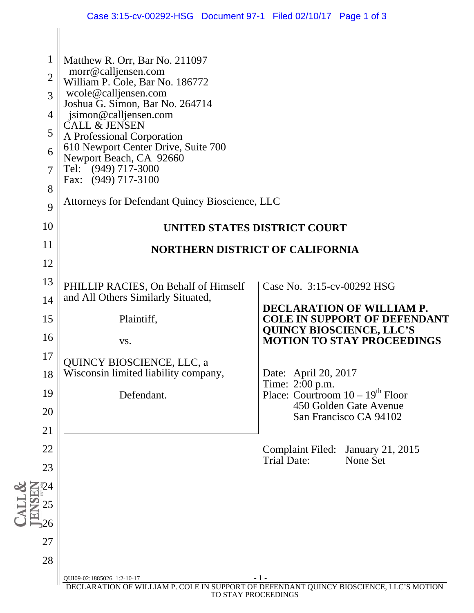|                                     | Case 3:15-cv-00292-HSG  Document 97-1  Filed 02/10/17  Page 1 of 3                                                                                  |                                                         |                                                                         |
|-------------------------------------|-----------------------------------------------------------------------------------------------------------------------------------------------------|---------------------------------------------------------|-------------------------------------------------------------------------|
| $\mathbf{1}$<br>$\overline{2}$<br>3 | Matthew R. Orr, Bar No. 211097<br>morr@calljensen.com<br>William P. Cole, Bar No. 186772<br>wcole@calljensen.com<br>Joshua G. Simon, Bar No. 264714 |                                                         |                                                                         |
| $\overline{4}$                      | jsimon@calljensen.com                                                                                                                               |                                                         |                                                                         |
| 5                                   | <b>CALL &amp; JENSEN</b><br>A Professional Corporation                                                                                              |                                                         |                                                                         |
| 6<br>$\overline{7}$                 | 610 Newport Center Drive, Suite 700<br>Newport Beach, CA 92660<br>Tel: (949) 717-3000                                                               |                                                         |                                                                         |
| 8                                   | Fax: (949) 717-3100                                                                                                                                 |                                                         |                                                                         |
| 9                                   | Attorneys for Defendant Quincy Bioscience, LLC                                                                                                      |                                                         |                                                                         |
| 10                                  | UNITED STATES DISTRICT COURT                                                                                                                        |                                                         |                                                                         |
| 11                                  | <b>NORTHERN DISTRICT OF CALIFORNIA</b>                                                                                                              |                                                         |                                                                         |
| 12                                  |                                                                                                                                                     |                                                         |                                                                         |
| 13                                  | PHILLIP RACIES, On Behalf of Himself<br>and All Others Similarly Situated,                                                                          | Case No. 3:15-cv-00292 HSG                              |                                                                         |
| 14<br>15                            | Plaintiff,                                                                                                                                          |                                                         | <b>DECLARATION OF WILLIAM P.</b><br><b>COLE IN SUPPORT OF DEFENDANT</b> |
| 16                                  | VS.                                                                                                                                                 | <b>QUINCY BIOSCIENCE, LLC'S</b>                         | <b>MOTION TO STAY PROCEEDINGS</b>                                       |
| 17                                  | <b>QUINCY BIOSCIENCE, LLC, a</b>                                                                                                                    |                                                         |                                                                         |
| 18                                  | Wisconsin limited liability company,                                                                                                                | Date: April 20, 2017<br>Time: 2:00 p.m.                 |                                                                         |
| 19                                  | Defendant.                                                                                                                                          | Place: Courtroom $10 - 19$ <sup>th</sup> Floor          |                                                                         |
| 20                                  |                                                                                                                                                     |                                                         | 450 Golden Gate Avenue<br>San Francisco CA 94102                        |
| 21                                  |                                                                                                                                                     |                                                         |                                                                         |
| 22                                  |                                                                                                                                                     | Complaint Filed: January 21, 2015<br><b>Trial Date:</b> | None Set                                                                |
| 23                                  |                                                                                                                                                     |                                                         |                                                                         |
| -24                                 |                                                                                                                                                     |                                                         |                                                                         |
| 25<br>26                            |                                                                                                                                                     |                                                         |                                                                         |
| 27                                  |                                                                                                                                                     |                                                         |                                                                         |
| 28                                  |                                                                                                                                                     |                                                         |                                                                         |
|                                     | QUI09-02:1885026_1:2-10-17                                                                                                                          | $-1-$                                                   |                                                                         |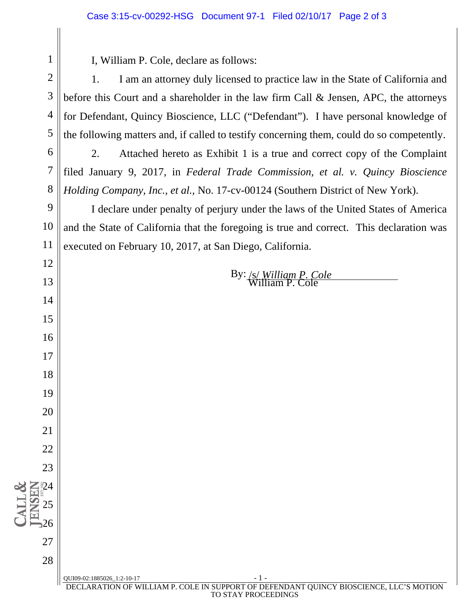I, William P. Cole, declare as follows:

 1. I am an attorney duly licensed to practice law in the State of California and before this Court and a shareholder in the law firm Call & Jensen, APC, the attorneys for Defendant, Quincy Bioscience, LLC ("Defendant"). I have personal knowledge of the following matters and, if called to testify concerning them, could do so competently.

 2. Attached hereto as Exhibit 1 is a true and correct copy of the Complaint filed January 9, 2017, in *Federal Trade Commission, et al. v. Quincy Bioscience Holding Company, Inc., et al.,* No. 17-cv-00124 (Southern District of New York).

 I declare under penalty of perjury under the laws of the United States of America and the State of California that the foregoing is true and correct. This declaration was executed on February 10, 2017, at San Diego, California.

By: /s/ *William P. Cole* William P. Cole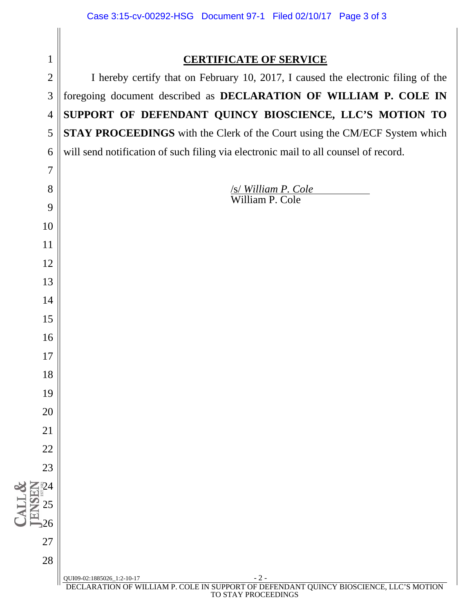| Case 3:15-cv-00292-HSG  Document 97-1  Filed 02/10/17  Page 3 of 3                  |
|-------------------------------------------------------------------------------------|
|                                                                                     |
| <b>CERTIFICATE OF SERVICE</b>                                                       |
| I hereby certify that on February 10, 2017, I caused the electronic filing of the   |
| foregoing document described as DECLARATION OF WILLIAM P. COLE IN                   |
| SUPPORT OF DEFENDANT QUINCY BIOSCIENCE, LLC'S MOTION TO                             |
| STAY PROCEEDINGS with the Clerk of the Court using the CM/ECF System which          |
| will send notification of such filing via electronic mail to all counsel of record. |
|                                                                                     |
| <u>/s/William P. Cole</u><br>William P. Cole                                        |
|                                                                                     |
|                                                                                     |
|                                                                                     |
|                                                                                     |
|                                                                                     |
|                                                                                     |
|                                                                                     |
|                                                                                     |
|                                                                                     |
|                                                                                     |
|                                                                                     |
|                                                                                     |
|                                                                                     |
|                                                                                     |
|                                                                                     |
|                                                                                     |
|                                                                                     |
|                                                                                     |
|                                                                                     |
|                                                                                     |
|                                                                                     |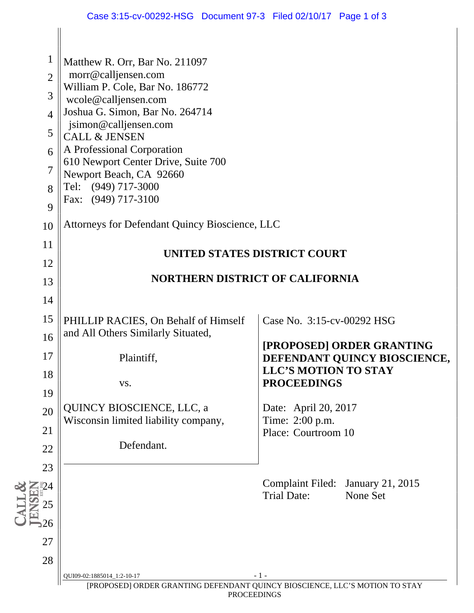| $\mathbf{1}$<br>$\overline{2}$<br>3<br>$\overline{4}$<br>5<br>6<br>7<br>8<br>9 | Matthew R. Orr, Bar No. 211097<br>morr@calljensen.com<br>William P. Cole, Bar No. 186772<br>wcole@calljensen.com<br>Joshua G. Simon, Bar No. 264714<br>jsimon@calljensen.com<br><b>CALL &amp; JENSEN</b><br>A Professional Corporation<br>610 Newport Center Drive, Suite 700<br>Newport Beach, CA 92660<br>Tel: (949) 717-3000<br>Fax: (949) 717-3100 |                                                                                                                                                                                                                |
|--------------------------------------------------------------------------------|--------------------------------------------------------------------------------------------------------------------------------------------------------------------------------------------------------------------------------------------------------------------------------------------------------------------------------------------------------|----------------------------------------------------------------------------------------------------------------------------------------------------------------------------------------------------------------|
| 10                                                                             | Attorneys for Defendant Quincy Bioscience, LLC                                                                                                                                                                                                                                                                                                         |                                                                                                                                                                                                                |
| 11<br>12<br>13                                                                 |                                                                                                                                                                                                                                                                                                                                                        | UNITED STATES DISTRICT COURT<br>NORTHERN DISTRICT OF CALIFORNIA                                                                                                                                                |
| 14<br>15<br>16<br>17<br>18<br>19<br>20<br>21<br>22<br>23                       | PHILLIP RACIES, On Behalf of Himself<br>and All Others Similarly Situated,<br>Plaintiff,<br>VS.<br><b>QUINCY BIOSCIENCE, LLC, a</b><br>Wisconsin limited liability company,<br>Defendant.                                                                                                                                                              | Case No. 3:15-cv-00292 HSG<br>[PROPOSED] ORDER GRANTING<br>DEFENDANT QUINCY BIOSCIENCE,<br><b>LLC'S MOTION TO STAY</b><br><b>PROCEEDINGS</b><br>Date: April 20, 2017<br>Time: 2:00 p.m.<br>Place: Courtroom 10 |
| 25<br>26<br>27<br>28                                                           | QUI09-02:1885014_1:2-10-17                                                                                                                                                                                                                                                                                                                             | <b>Complaint Filed:</b><br><b>January 21, 2015</b><br><b>Trial Date:</b><br>None Set<br>- 1 -<br>[PROPOSED] ORDER GRANTING DEFENDANT QUINCY BIOSCIENCE, LLC'S MOTION TO STAY                                   |

PROCEEDINGS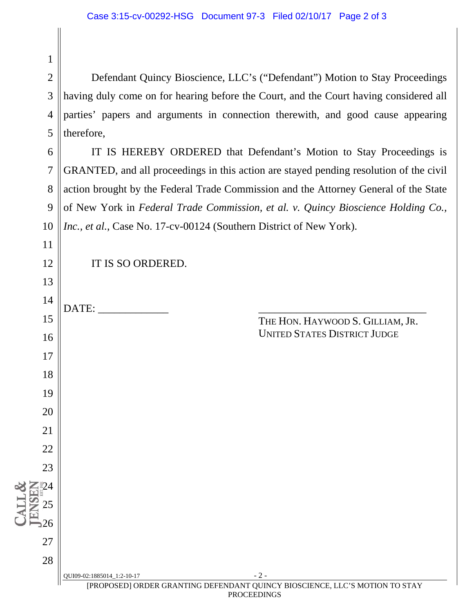Defendant Quincy Bioscience, LLC's ("Defendant") Motion to Stay Proceedings having duly come on for hearing before the Court, and the Court having considered all parties' papers and arguments in connection therewith, and good cause appearing therefore,

 IT IS HEREBY ORDERED that Defendant's Motion to Stay Proceedings is GRANTED, and all proceedings in this action are stayed pending resolution of the civil action brought by the Federal Trade Commission and the Attorney General of the State of New York in *Federal Trade Commission, et al. v. Quincy Bioscience Holding Co., Inc., et al.*, Case No. 17-cv-00124 (Southern District of New York).

| 10                                                  | Inc., et al., Case No. 17-cv-00124 (Southern District of New York).                                                |
|-----------------------------------------------------|--------------------------------------------------------------------------------------------------------------------|
| 11                                                  |                                                                                                                    |
| 12                                                  | IT IS SO ORDERED.                                                                                                  |
| 13                                                  |                                                                                                                    |
| 14                                                  |                                                                                                                    |
| 15                                                  | THE HON. HAYWOOD S. GILLIAM, JR.                                                                                   |
| 16                                                  | <b>UNITED STATES DISTRICT JUDGE</b>                                                                                |
| 17                                                  |                                                                                                                    |
| 18                                                  |                                                                                                                    |
| 19                                                  |                                                                                                                    |
| 20                                                  |                                                                                                                    |
| 21                                                  |                                                                                                                    |
| 22                                                  |                                                                                                                    |
| 23                                                  |                                                                                                                    |
|                                                     |                                                                                                                    |
| $\frac{24}{2}$<br>$\frac{25}{2}$<br>$\frac{25}{26}$ |                                                                                                                    |
|                                                     |                                                                                                                    |
| $27\,$                                              |                                                                                                                    |
| 28                                                  |                                                                                                                    |
|                                                     | $-2-$<br>QUI09-02:1885014_1:2-10-17<br>[PROPOSED] ORDER GRANTING DEFENDANT QUINCY BIOSCIENCE, LLC'S MOTION TO STAY |